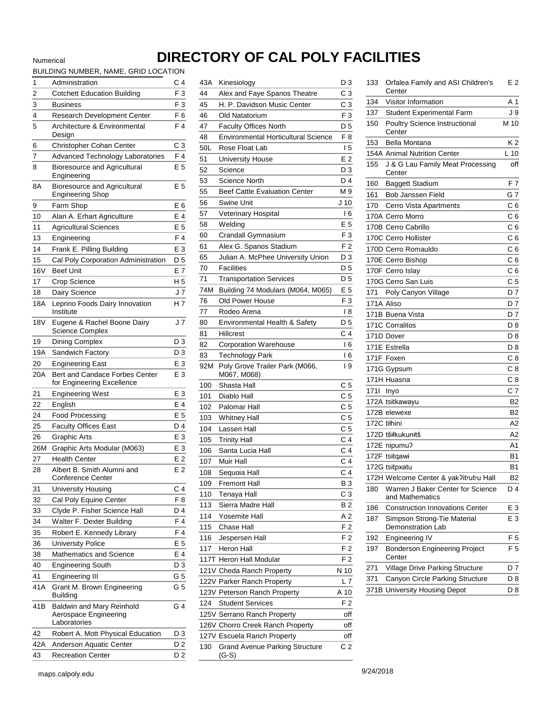## **DIRECTORY OF CAL POLY FACILITIES**

## BUILDING NUMBER, NAME, GRID LOCATION 1 Administration C 4<br>2 Cotchett Education Building F 3 2 Cotchett Education Building<br>3 Business Business F 3 **4** Research Development Center  $\overline{F}$  6<br>5 Architecture & Environmental  $\overline{F}$  4 Architecture & Environmental 5 F 4 Design

Numerical

| 6               | Christopher Cohan Center                                       | C <sub>3</sub> |  |  |
|-----------------|----------------------------------------------------------------|----------------|--|--|
| 7               | Advanced Technology Laboratories                               | F <sub>4</sub> |  |  |
| 8               | <b>Bioresource and Agricultural</b><br>Engineering             | E 5            |  |  |
| 8A              | <b>Bioresource and Agricultural</b><br><b>Engineering Shop</b> | E 5            |  |  |
| 9               | Farm Shop                                                      | E <sub>6</sub> |  |  |
| 10              | Alan A. Erhart Agriculture                                     | E 4            |  |  |
| 11              | <b>Agricultural Sciences</b>                                   | E 5            |  |  |
| 13              | Engineering                                                    | F 4            |  |  |
| 14              | Frank E. Pilling Building                                      |                |  |  |
| 15              | Cal Poly Corporation Administration                            | D 5            |  |  |
| 16 <sub>V</sub> | <b>Beef Unit</b>                                               | E 7            |  |  |
| 17              | Crop Science                                                   | H 5            |  |  |
| 18              | Dairy Science                                                  | J 7            |  |  |
| 18A             | Leprino Foods Dairy Innovation<br>Institute                    | H 7            |  |  |
| 18V             | Eugene & Rachel Boone Dairy<br><b>Science Complex</b>          | J 7            |  |  |
| 19              | Dining Complex                                                 | D 3            |  |  |
| 19A             | Sandwich Factory                                               | D3             |  |  |
| 20              | <b>Engineering East</b>                                        | E <sub>3</sub> |  |  |
| 20A             | Bert and Candace Forbes Center<br>for Engineering Excellence   | E 3            |  |  |
| 21              | <b>Engineering West</b>                                        | EЗ             |  |  |
| 22              | English                                                        | E 4            |  |  |
| 24              | Food Processing                                                | E 5            |  |  |
| 25              | <b>Faculty Offices East</b>                                    | D 4            |  |  |
| 26              | <b>Graphic Arts</b>                                            | E 3            |  |  |
| 26M             | Graphic Arts Modular (M063)                                    | E <sub>3</sub> |  |  |
| 27              | <b>Health Center</b>                                           | E 2            |  |  |
| 28              | Albert B. Smith Alumni and<br>Conference Center                | E 2            |  |  |
| 31              | University Housing                                             | C 4            |  |  |
| 32              | Cal Poly Equine Center                                         | F 8            |  |  |
| 33              | Clyde P. Fisher Science Hall                                   | D 4            |  |  |
| 34              | Walter F. Dexter Building                                      | F4             |  |  |
| 35              | Robert E. Kennedy Library                                      | F4             |  |  |
| 36              | <b>University Police</b>                                       | E 5            |  |  |
| 38              | Mathematics and Science                                        | Ε4             |  |  |
| 40              | <b>Engineering South</b>                                       | D 3            |  |  |
| 41              | Engineering III                                                | G 5            |  |  |
| 41 A            | Grant M. Brown Engineering<br><b>Building</b>                  | G 5            |  |  |
| 41B             | Baldwin and Mary Reinhold                                      | G 4            |  |  |
|                 | Aerospace Engineering<br>Laboratories                          |                |  |  |
| 42              | Robert A. Mott Physical Education                              | D 3            |  |  |
| 42A             | Anderson Aquatic Center                                        | D 2            |  |  |
| 43              | <b>Recreation Center</b>                                       | D 2            |  |  |

| 43A | Kinesiology                                | D 3            |
|-----|--------------------------------------------|----------------|
| 44  | Alex and Faye Spanos Theatre               | C <sub>3</sub> |
| 45  | H. P. Davidson Music Center                | C <sub>3</sub> |
| 46  | Old Natatorium                             | F <sub>3</sub> |
| 47  | <b>Faculty Offices North</b>               | D 5            |
| 48  | <b>Environmental Horticultural Science</b> | F8             |
| 50L | Rose Float Lab                             | ۱5             |
| 51  | <b>University House</b>                    | E <sub>2</sub> |
| 52  | Science                                    | D 3            |
| 53  | Science North                              | D4             |
| 55  | <b>Beef Cattle Evaluation Center</b>       | M 9            |
| 56  | Swine Unit                                 | J 10           |
| 57  | Veterinary Hospital                        | l 6            |
| 58  | Welding                                    | E <sub>5</sub> |
| 60  | Crandall Gymnasium                         | F <sub>3</sub> |
| 61  | Alex G. Spanos Stadium                     | F <sub>2</sub> |
| 65  | Julian A. McPhee University Union          | D <sub>3</sub> |
| 70  | Facilities                                 | D 5            |
| 71  | <b>Transportation Services</b>             | D 5            |
| 74M | Building 74 Modulars (M064, M065)          | Ε5             |
| 76  | Old Power House                            | F <sub>3</sub> |
| 77  | Rodeo Arena                                | 18             |
| 80  | Environmental Health & Safety              | D 5            |
| 81  | Hillcrest                                  | C <sub>4</sub> |
| 82  | <b>Corporation Warehouse</b>               | l 6            |
| 83  | <b>Technology Park</b>                     | l 6            |
| 92M | Poly Grove Trailer Park (M066,             | و ۱            |
|     | M067, M068)                                |                |
| 100 | Shasta Hall                                | C 5            |
| 101 | Diablo Hall                                | C <sub>5</sub> |
| 102 | Palomar Hall                               | C <sub>5</sub> |
| 103 | <b>Whitney Hall</b>                        | C <sub>5</sub> |
| 104 | Lassen Hall                                | C <sub>5</sub> |
| 105 | <b>Trinity Hall</b>                        | C <sub>4</sub> |
| 106 | Santa Lucia Hall                           | C <sub>4</sub> |
| 107 | Muir Hall                                  | C <sub>4</sub> |
| 108 | Sequoia Hall                               | C <sub>4</sub> |
| 109 | <b>Fremont Hall</b>                        | <b>B3</b>      |
| 110 | Tenaya Hall                                | C <sub>3</sub> |
| 113 | Sierra Madre Hall                          | B 2            |
| 114 | Yosemite Hall                              | A <sub>2</sub> |
| 115 | Chase Hall                                 | F <sub>2</sub> |
| 116 | Jespersen Hall                             | F <sub>2</sub> |
| 117 | Heron Hall                                 | F <sub>2</sub> |
|     | 117T Heron Hall Modular                    | F <sub>2</sub> |
|     | 121V Cheda Ranch Property                  | N 10           |
|     | 122V Parker Ranch Property                 | L 7            |
|     | 123V Peterson Ranch Property               | A 10           |
| 124 | <b>Student Services</b>                    | F <sub>2</sub> |
|     | 125V Serrano Ranch Property                | off            |
|     | 126V Chorro Creek Ranch Property           | off            |
|     | 127V Escuela Ranch Property                | off            |
| 130 | <b>Grand Avenue Parking Structure</b>      | C <sub>2</sub> |
|     | $(G-S)$                                    |                |

| 133          | Orfalea Family and ASI Children's<br>Center             | E 2             |
|--------------|---------------------------------------------------------|-----------------|
| 134          | <b>Visitor Information</b>                              | A 1             |
| 137          | <b>Student Experimental Farm</b>                        | J 9             |
| 150          | Poultry Science Instructional<br>Center                 | M 10            |
| 153          | <b>Bella Montana</b>                                    | K 2             |
|              | 154A Animal Nutrition Center                            | L <sub>10</sub> |
| 155          | J & G Lau Family Meat Processing<br>Center              | off             |
| 160          | Baggett Stadium                                         | F 7             |
| 161          | <b>Bob Janssen Field</b>                                | G 7             |
| 170          | Cerro Vista Apartments                                  | C6              |
|              | 170A Cerro Morro                                        | C <sub>6</sub>  |
|              | 170B Cerro Cabrillo                                     | C <sub>6</sub>  |
|              | 170C Cerro Hollister                                    | C <sub>6</sub>  |
|              | 170D Cerro Romauldo                                     | C <sub>6</sub>  |
|              | 170E Cerro Bishop                                       | C <sub>6</sub>  |
|              | 170F Cerro Islay                                        | C <sub>6</sub>  |
|              | 170G Cerro San Luis                                     | C <sub>5</sub>  |
| 171          | Poly Canyon Village                                     | D7              |
| 171A Aliso   |                                                         | D7              |
|              | 171B Buena Vista                                        | D7              |
|              | 171C Corralitos                                         | D 8             |
|              | 171D Dover                                              | D8              |
|              | 171E Estrella                                           | D8              |
|              | 171F Foxen                                              | C 8             |
|              | 171G Gypsum                                             | C 8             |
|              | 171H Huasna                                             | C 8             |
| 1711         | Inyo                                                    | C <sub>7</sub>  |
|              | 172A tsitkawayu                                         | B <sub>2</sub>  |
|              | 172B elewexe                                            | B2              |
| 172C tiłhini |                                                         | A2              |
|              | 172D tšiłkukunitš                                       | A2              |
|              | 172E nipumu?                                            | A1              |
|              | 172F tsitgawi                                           | Β1              |
|              | 172G tsitpxatu                                          | В1              |
|              | 172H Welcome Center & yak?itvutvu Hall                  | В2              |
| 180          | Warren J Baker Center for Science<br>and Mathematics    | D4              |
| 186          | <b>Construction Innovations Center</b>                  | E3              |
| 187          | Simpson Strong-Tie Material<br><b>Demonstration Lab</b> | EЗ              |
| 192          | Engineering IV                                          | F 5             |
| 197          | <b>Bonderson Engineering Project</b><br>Center          | F 5             |
| 271          | Village Drive Parking Structure                         | D 7             |
| 371          | Canyon Circle Parking Structure                         | D 8             |
|              | 371B University Housing Depot                           | D 8             |